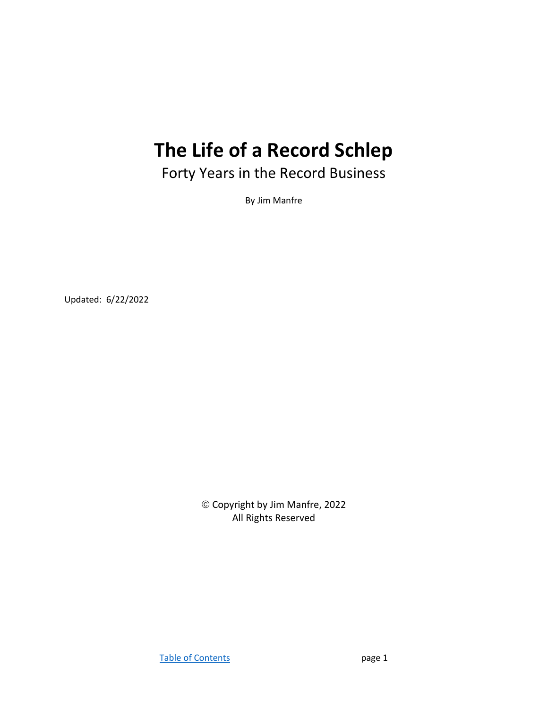## The Life of a Record Schlep

Forty Years in the Record Business

By Jim Manfre

Updated: 6/22/2022

 Copyright by Jim Manfre, 2022 All Rights Reserved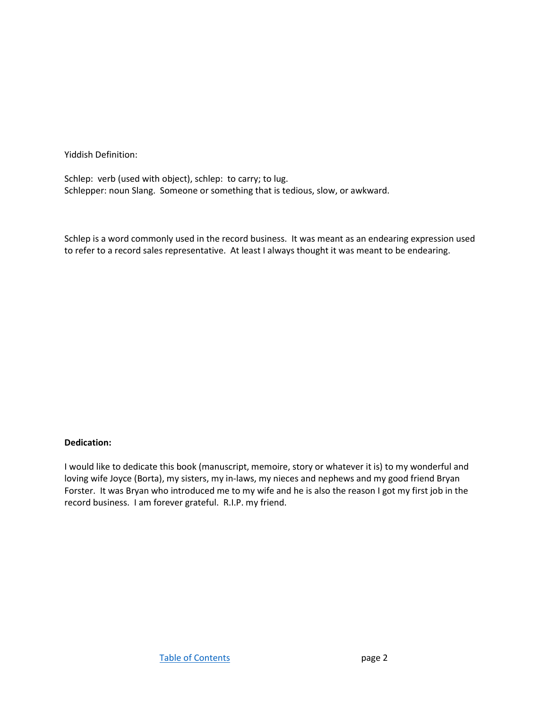Yiddish Definition:

Schlep: verb (used with object), schlep: to carry; to lug. Schlepper: noun Slang. Someone or something that is tedious, slow, or awkward.

Schlep is a word commonly used in the record business. It was meant as an endearing expression used to refer to a record sales representative. At least I always thought it was meant to be endearing.

## Dedication:

I would like to dedicate this book (manuscript, memoire, story or whatever it is) to my wonderful and loving wife Joyce (Borta), my sisters, my in-laws, my nieces and nephews and my good friend Bryan Forster. It was Bryan who introduced me to my wife and he is also the reason I got my first job in the record business. I am forever grateful. R.I.P. my friend.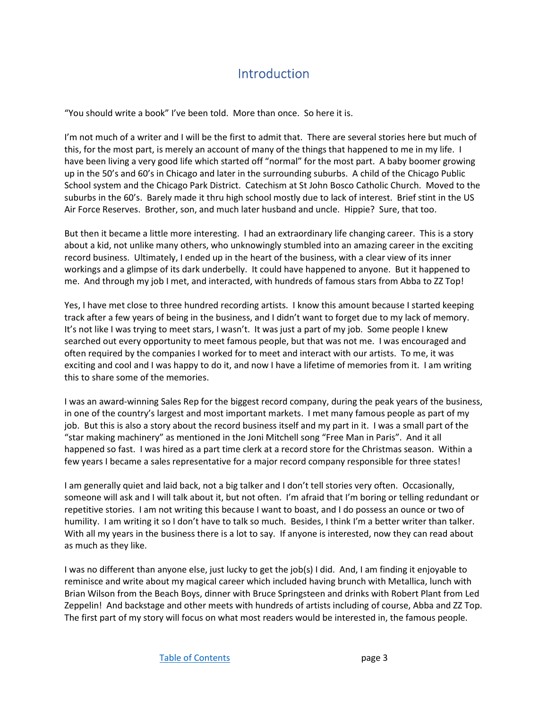## Introduction

"You should write a book" I've been told. More than once. So here it is.

I'm not much of a writer and I will be the first to admit that. There are several stories here but much of this, for the most part, is merely an account of many of the things that happened to me in my life. I have been living a very good life which started off "normal" for the most part. A baby boomer growing up in the 50's and 60's in Chicago and later in the surrounding suburbs. A child of the Chicago Public School system and the Chicago Park District. Catechism at St John Bosco Catholic Church. Moved to the suburbs in the 60's. Barely made it thru high school mostly due to lack of interest. Brief stint in the US Air Force Reserves. Brother, son, and much later husband and uncle. Hippie? Sure, that too.

But then it became a little more interesting. I had an extraordinary life changing career. This is a story about a kid, not unlike many others, who unknowingly stumbled into an amazing career in the exciting record business. Ultimately, I ended up in the heart of the business, with a clear view of its inner workings and a glimpse of its dark underbelly. It could have happened to anyone. But it happened to me. And through my job I met, and interacted, with hundreds of famous stars from Abba to ZZ Top!

Yes, I have met close to three hundred recording artists. I know this amount because I started keeping track after a few years of being in the business, and I didn't want to forget due to my lack of memory. It's not like I was trying to meet stars, I wasn't. It was just a part of my job. Some people I knew searched out every opportunity to meet famous people, but that was not me. I was encouraged and often required by the companies I worked for to meet and interact with our artists. To me, it was exciting and cool and I was happy to do it, and now I have a lifetime of memories from it. I am writing this to share some of the memories.

I was an award-winning Sales Rep for the biggest record company, during the peak years of the business, in one of the country's largest and most important markets. I met many famous people as part of my job. But this is also a story about the record business itself and my part in it. I was a small part of the "star making machinery" as mentioned in the Joni Mitchell song "Free Man in Paris". And it all happened so fast. I was hired as a part time clerk at a record store for the Christmas season. Within a few years I became a sales representative for a major record company responsible for three states!

I am generally quiet and laid back, not a big talker and I don't tell stories very often. Occasionally, someone will ask and I will talk about it, but not often. I'm afraid that I'm boring or telling redundant or repetitive stories. I am not writing this because I want to boast, and I do possess an ounce or two of humility. I am writing it so I don't have to talk so much. Besides, I think I'm a better writer than talker. With all my years in the business there is a lot to say. If anyone is interested, now they can read about as much as they like.

I was no different than anyone else, just lucky to get the job(s) I did. And, I am finding it enjoyable to reminisce and write about my magical career which included having brunch with Metallica, lunch with Brian Wilson from the Beach Boys, dinner with Bruce Springsteen and drinks with Robert Plant from Led Zeppelin! And backstage and other meets with hundreds of artists including of course, Abba and ZZ Top. The first part of my story will focus on what most readers would be interested in, the famous people.

Table of Contents **page 3**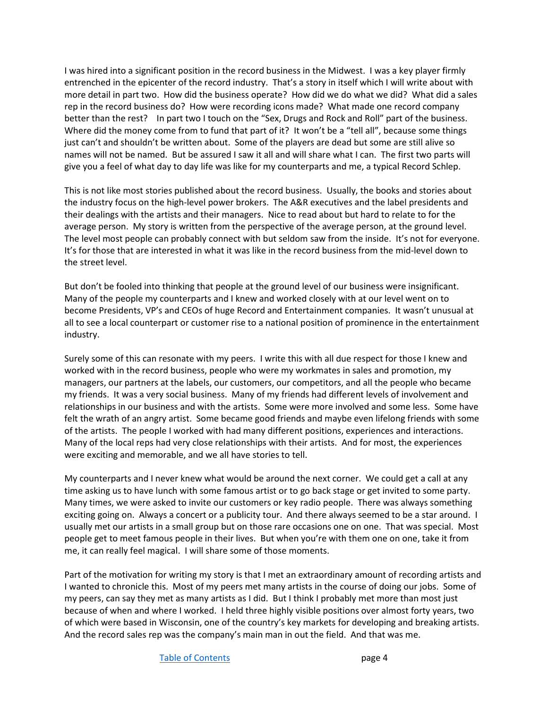I was hired into a significant position in the record business in the Midwest. I was a key player firmly entrenched in the epicenter of the record industry. That's a story in itself which I will write about with more detail in part two. How did the business operate? How did we do what we did? What did a sales rep in the record business do? How were recording icons made? What made one record company better than the rest? In part two I touch on the "Sex, Drugs and Rock and Roll" part of the business. Where did the money come from to fund that part of it? It won't be a "tell all", because some things just can't and shouldn't be written about. Some of the players are dead but some are still alive so names will not be named. But be assured I saw it all and will share what I can. The first two parts will give you a feel of what day to day life was like for my counterparts and me, a typical Record Schlep.

This is not like most stories published about the record business. Usually, the books and stories about the industry focus on the high-level power brokers. The A&R executives and the label presidents and their dealings with the artists and their managers. Nice to read about but hard to relate to for the average person. My story is written from the perspective of the average person, at the ground level. The level most people can probably connect with but seldom saw from the inside. It's not for everyone. It's for those that are interested in what it was like in the record business from the mid-level down to the street level.

But don't be fooled into thinking that people at the ground level of our business were insignificant. Many of the people my counterparts and I knew and worked closely with at our level went on to become Presidents, VP's and CEOs of huge Record and Entertainment companies. It wasn't unusual at all to see a local counterpart or customer rise to a national position of prominence in the entertainment industry.

Surely some of this can resonate with my peers. I write this with all due respect for those I knew and worked with in the record business, people who were my workmates in sales and promotion, my managers, our partners at the labels, our customers, our competitors, and all the people who became my friends. It was a very social business. Many of my friends had different levels of involvement and relationships in our business and with the artists. Some were more involved and some less. Some have felt the wrath of an angry artist. Some became good friends and maybe even lifelong friends with some of the artists. The people I worked with had many different positions, experiences and interactions. Many of the local reps had very close relationships with their artists. And for most, the experiences were exciting and memorable, and we all have stories to tell.

My counterparts and I never knew what would be around the next corner. We could get a call at any time asking us to have lunch with some famous artist or to go back stage or get invited to some party. Many times, we were asked to invite our customers or key radio people. There was always something exciting going on. Always a concert or a publicity tour. And there always seemed to be a star around. I usually met our artists in a small group but on those rare occasions one on one. That was special. Most people get to meet famous people in their lives. But when you're with them one on one, take it from me, it can really feel magical. I will share some of those moments.

Part of the motivation for writing my story is that I met an extraordinary amount of recording artists and I wanted to chronicle this. Most of my peers met many artists in the course of doing our jobs. Some of my peers, can say they met as many artists as I did. But I think I probably met more than most just because of when and where I worked. I held three highly visible positions over almost forty years, two of which were based in Wisconsin, one of the country's key markets for developing and breaking artists. And the record sales rep was the company's main man in out the field. And that was me.

Table of Contents **page 4**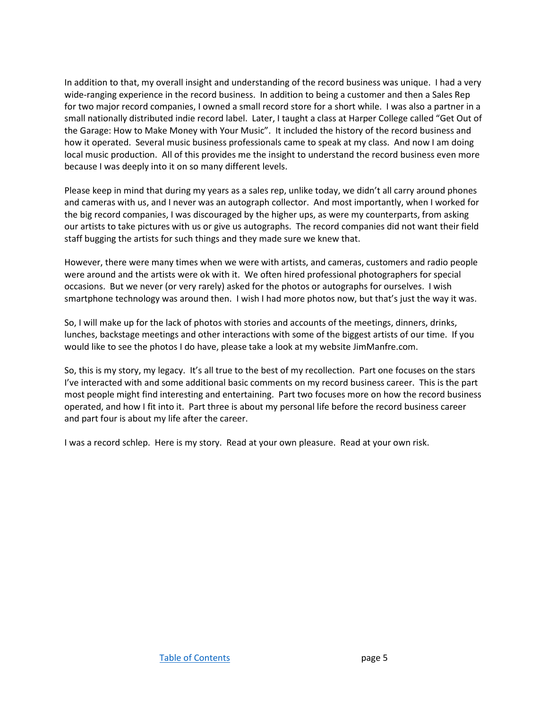In addition to that, my overall insight and understanding of the record business was unique. I had a very wide-ranging experience in the record business. In addition to being a customer and then a Sales Rep for two major record companies, I owned a small record store for a short while. I was also a partner in a small nationally distributed indie record label. Later, I taught a class at Harper College called "Get Out of the Garage: How to Make Money with Your Music". It included the history of the record business and how it operated. Several music business professionals came to speak at my class. And now I am doing local music production. All of this provides me the insight to understand the record business even more because I was deeply into it on so many different levels.

Please keep in mind that during my years as a sales rep, unlike today, we didn't all carry around phones and cameras with us, and I never was an autograph collector. And most importantly, when I worked for the big record companies, I was discouraged by the higher ups, as were my counterparts, from asking our artists to take pictures with us or give us autographs. The record companies did not want their field staff bugging the artists for such things and they made sure we knew that.

However, there were many times when we were with artists, and cameras, customers and radio people were around and the artists were ok with it. We often hired professional photographers for special occasions. But we never (or very rarely) asked for the photos or autographs for ourselves. I wish smartphone technology was around then. I wish I had more photos now, but that's just the way it was.

So, I will make up for the lack of photos with stories and accounts of the meetings, dinners, drinks, lunches, backstage meetings and other interactions with some of the biggest artists of our time. If you would like to see the photos I do have, please take a look at my website JimManfre.com.

So, this is my story, my legacy. It's all true to the best of my recollection. Part one focuses on the stars I've interacted with and some additional basic comments on my record business career. This is the part most people might find interesting and entertaining. Part two focuses more on how the record business operated, and how I fit into it. Part three is about my personal life before the record business career and part four is about my life after the career.

I was a record schlep. Here is my story. Read at your own pleasure. Read at your own risk.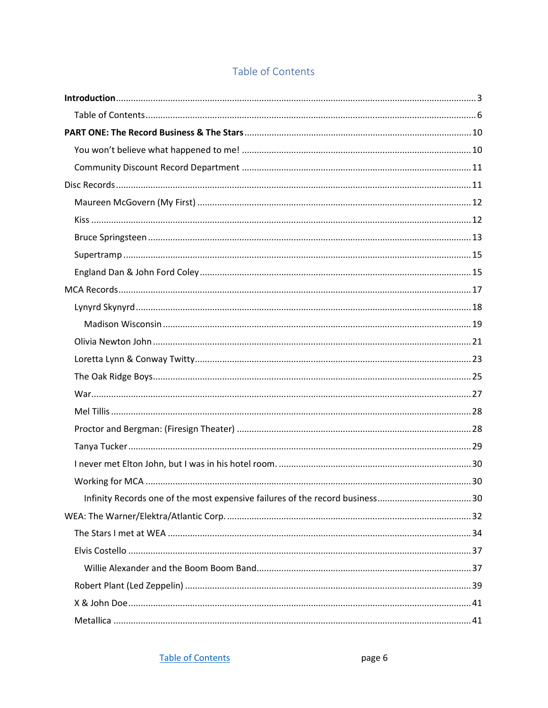## Table of Contents